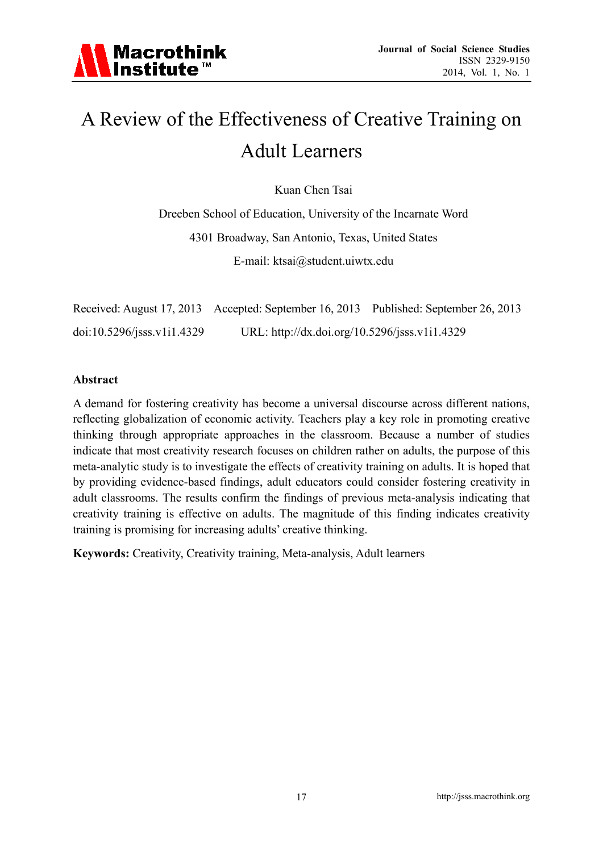

# A Review of the Effectiveness of Creative Training on Adult Learners

Kuan Chen Tsai

Dreeben School of Education, University of the Incarnate Word 4301 Broadway, San Antonio, Texas, United States E-mail: ktsai@student.uiwtx.edu

|                            | Received: August 17, 2013 Accepted: September 16, 2013 Published: September 26, 2013 |  |
|----------------------------|--------------------------------------------------------------------------------------|--|
| doi:10.5296/jsss.v1i1.4329 | URL: http://dx.doi.org/10.5296/jsss.v1i1.4329                                        |  |

#### **Abstract**

A demand for fostering creativity has become a universal discourse across different nations, reflecting globalization of economic activity. Teachers play a key role in promoting creative thinking through appropriate approaches in the classroom. Because a number of studies indicate that most creativity research focuses on children rather on adults, the purpose of this meta-analytic study is to investigate the effects of creativity training on adults. It is hoped that by providing evidence-based findings, adult educators could consider fostering creativity in adult classrooms. The results confirm the findings of previous meta-analysis indicating that creativity training is effective on adults. The magnitude of this finding indicates creativity training is promising for increasing adults' creative thinking.

**Keywords:** Creativity, Creativity training, Meta-analysis, Adult learners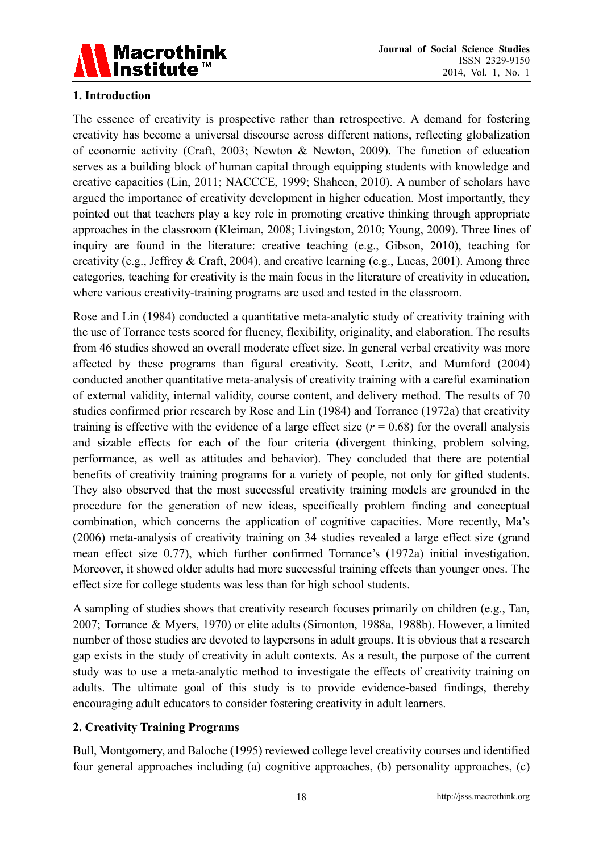

## **1. Introduction**

The essence of creativity is prospective rather than retrospective. A demand for fostering creativity has become a universal discourse across different nations, reflecting globalization of economic activity (Craft, 2003; Newton & Newton, 2009). The function of education serves as a building block of human capital through equipping students with knowledge and creative capacities (Lin, 2011; NACCCE, 1999; Shaheen, 2010). A number of scholars have argued the importance of creativity development in higher education. Most importantly, they pointed out that teachers play a key role in promoting creative thinking through appropriate approaches in the classroom (Kleiman, 2008; Livingston, 2010; Young, 2009). Three lines of inquiry are found in the literature: creative teaching (e.g., Gibson, 2010), teaching for creativity (e.g., Jeffrey & Craft, 2004), and creative learning (e.g., Lucas, 2001). Among three categories, teaching for creativity is the main focus in the literature of creativity in education, where various creativity-training programs are used and tested in the classroom.

Rose and Lin (1984) conducted a quantitative meta-analytic study of creativity training with the use of Torrance tests scored for fluency, flexibility, originality, and elaboration. The results from 46 studies showed an overall moderate effect size. In general verbal creativity was more affected by these programs than figural creativity. Scott, Leritz, and Mumford (2004) conducted another quantitative meta-analysis of creativity training with a careful examination of external validity, internal validity, course content, and delivery method. The results of 70 studies confirmed prior research by Rose and Lin (1984) and Torrance (1972a) that creativity training is effective with the evidence of a large effect size  $(r = 0.68)$  for the overall analysis and sizable effects for each of the four criteria (divergent thinking, problem solving, performance, as well as attitudes and behavior). They concluded that there are potential benefits of creativity training programs for a variety of people, not only for gifted students. They also observed that the most successful creativity training models are grounded in the procedure for the generation of new ideas, specifically problem finding and conceptual combination, which concerns the application of cognitive capacities. More recently, Ma's (2006) meta-analysis of creativity training on 34 studies revealed a large effect size (grand mean effect size 0.77), which further confirmed Torrance's (1972a) initial investigation. Moreover, it showed older adults had more successful training effects than younger ones. The effect size for college students was less than for high school students.

A sampling of studies shows that creativity research focuses primarily on children (e.g., Tan, 2007; Torrance & Myers, 1970) or elite adults (Simonton, 1988a, 1988b). However, a limited number of those studies are devoted to laypersons in adult groups. It is obvious that a research gap exists in the study of creativity in adult contexts. As a result, the purpose of the current study was to use a meta-analytic method to investigate the effects of creativity training on adults. The ultimate goal of this study is to provide evidence-based findings, thereby encouraging adult educators to consider fostering creativity in adult learners.

#### **2. Creativity Training Programs**

Bull, Montgomery, and Baloche (1995) reviewed college level creativity courses and identified four general approaches including (a) cognitive approaches, (b) personality approaches, (c)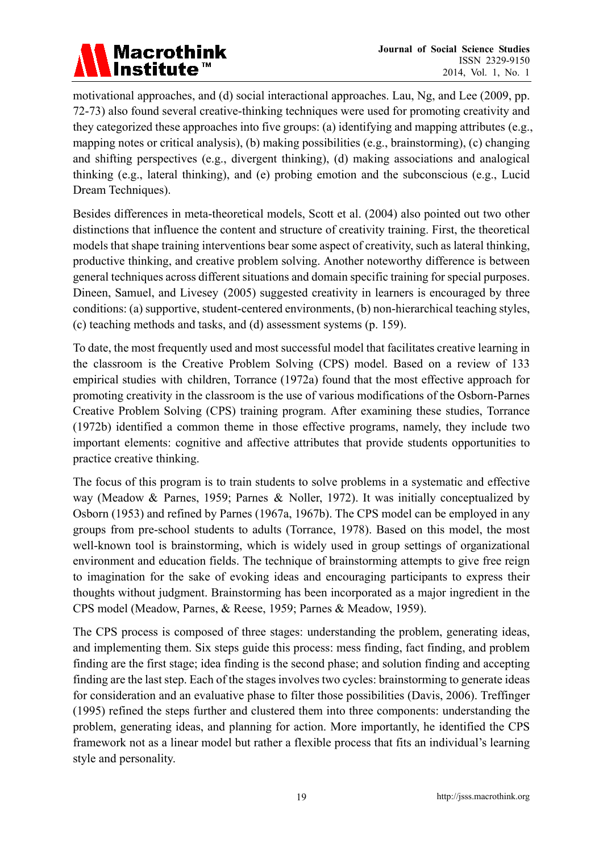

motivational approaches, and (d) social interactional approaches. Lau, Ng, and Lee (2009, pp. 72-73) also found several creative-thinking techniques were used for promoting creativity and they categorized these approaches into five groups: (a) identifying and mapping attributes (e.g., mapping notes or critical analysis), (b) making possibilities (e.g., brainstorming), (c) changing and shifting perspectives (e.g., divergent thinking), (d) making associations and analogical thinking (e.g., lateral thinking), and (e) probing emotion and the subconscious (e.g., Lucid Dream Techniques).

Besides differences in meta-theoretical models, Scott et al. (2004) also pointed out two other distinctions that influence the content and structure of creativity training. First, the theoretical models that shape training interventions bear some aspect of creativity, such as lateral thinking, productive thinking, and creative problem solving. Another noteworthy difference is between general techniques across different situations and domain specific training for special purposes. Dineen, Samuel, and Livesey (2005) suggested creativity in learners is encouraged by three conditions: (a) supportive, student-centered environments, (b) non-hierarchical teaching styles, (c) teaching methods and tasks, and (d) assessment systems (p. 159).

To date, the most frequently used and most successful model that facilitates creative learning in the classroom is the Creative Problem Solving (CPS) model. Based on a review of 133 empirical studies with children, Torrance (1972a) found that the most effective approach for promoting creativity in the classroom is the use of various modifications of the Osborn-Parnes Creative Problem Solving (CPS) training program. After examining these studies, Torrance (1972b) identified a common theme in those effective programs, namely, they include two important elements: cognitive and affective attributes that provide students opportunities to practice creative thinking.

The focus of this program is to train students to solve problems in a systematic and effective way (Meadow & Parnes, 1959; Parnes & Noller, 1972). It was initially conceptualized by Osborn (1953) and refined by Parnes (1967a, 1967b). The CPS model can be employed in any groups from pre-school students to adults (Torrance, 1978). Based on this model, the most well-known tool is brainstorming, which is widely used in group settings of organizational environment and education fields. The technique of brainstorming attempts to give free reign to imagination for the sake of evoking ideas and encouraging participants to express their thoughts without judgment. Brainstorming has been incorporated as a major ingredient in the CPS model (Meadow, Parnes, & Reese, 1959; Parnes & Meadow, 1959).

The CPS process is composed of three stages: understanding the problem, generating ideas, and implementing them. Six steps guide this process: mess finding, fact finding, and problem finding are the first stage; idea finding is the second phase; and solution finding and accepting finding are the last step. Each of the stages involves two cycles: brainstorming to generate ideas for consideration and an evaluative phase to filter those possibilities (Davis, 2006). Treffinger (1995) refined the steps further and clustered them into three components: understanding the problem, generating ideas, and planning for action. More importantly, he identified the CPS framework not as a linear model but rather a flexible process that fits an individual's learning style and personality.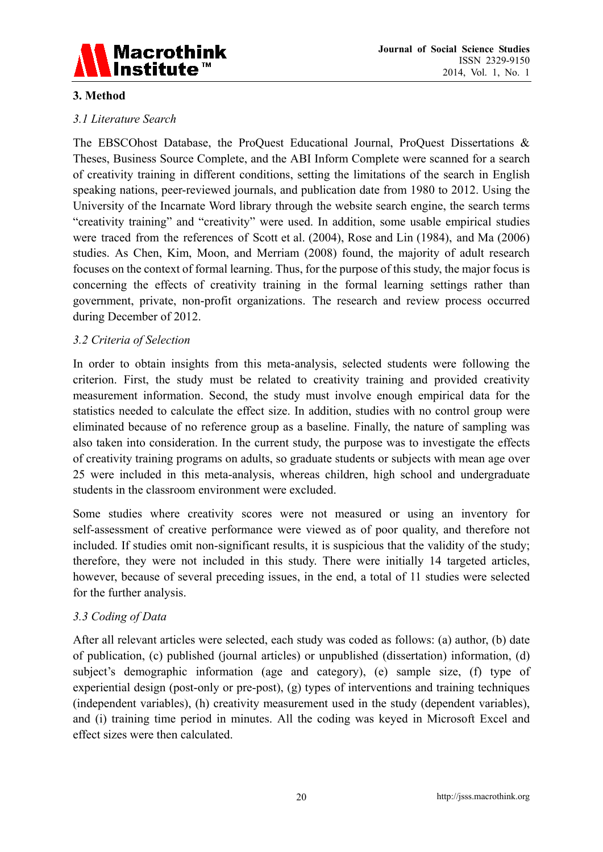

## **3. Method**

## *3.1 Literature Search*

The EBSCOhost Database, the ProQuest Educational Journal, ProQuest Dissertations & Theses, Business Source Complete, and the ABI Inform Complete were scanned for a search of creativity training in different conditions, setting the limitations of the search in English speaking nations, peer-reviewed journals, and publication date from 1980 to 2012. Using the University of the Incarnate Word library through the website search engine, the search terms "creativity training" and "creativity" were used. In addition, some usable empirical studies were traced from the references of Scott et al. (2004), Rose and Lin (1984), and Ma (2006) studies. As Chen, Kim, Moon, and Merriam (2008) found, the majority of adult research focuses on the context of formal learning. Thus, for the purpose of this study, the major focus is concerning the effects of creativity training in the formal learning settings rather than government, private, non-profit organizations. The research and review process occurred during December of 2012.

### *3.2 Criteria of Selection*

In order to obtain insights from this meta-analysis, selected students were following the criterion. First, the study must be related to creativity training and provided creativity measurement information. Second, the study must involve enough empirical data for the statistics needed to calculate the effect size. In addition, studies with no control group were eliminated because of no reference group as a baseline. Finally, the nature of sampling was also taken into consideration. In the current study, the purpose was to investigate the effects of creativity training programs on adults, so graduate students or subjects with mean age over 25 were included in this meta-analysis, whereas children, high school and undergraduate students in the classroom environment were excluded.

Some studies where creativity scores were not measured or using an inventory for self-assessment of creative performance were viewed as of poor quality, and therefore not included. If studies omit non-significant results, it is suspicious that the validity of the study; therefore, they were not included in this study. There were initially 14 targeted articles, however, because of several preceding issues, in the end, a total of 11 studies were selected for the further analysis.

#### *3.3 Coding of Data*

After all relevant articles were selected, each study was coded as follows: (a) author, (b) date of publication, (c) published (journal articles) or unpublished (dissertation) information, (d) subject's demographic information (age and category), (e) sample size, (f) type of experiential design (post-only or pre-post), (g) types of interventions and training techniques (independent variables), (h) creativity measurement used in the study (dependent variables), and (i) training time period in minutes. All the coding was keyed in Microsoft Excel and effect sizes were then calculated.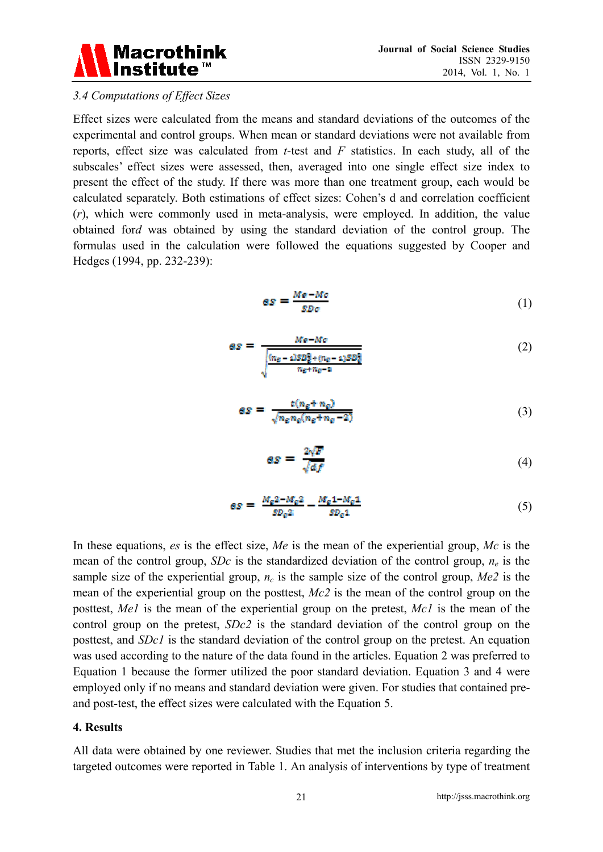

#### *3.4 Computations of Effect Sizes*

Effect sizes were calculated from the means and standard deviations of the outcomes of the experimental and control groups. When mean or standard deviations were not available from reports, effect size was calculated from *t*-test and *F* statistics. In each study, all of the subscales' effect sizes were assessed, then, averaged into one single effect size index to present the effect of the study. If there was more than one treatment group, each would be calculated separately. Both estimations of effect sizes: Cohen's d and correlation coefficient (*r*), which were commonly used in meta-analysis, were employed. In addition, the value obtained for*d* was obtained by using the standard deviation of the control group. The formulas used in the calculation were followed the equations suggested by Cooper and Hedges (1994, pp. 232-239):

$$
as = \frac{Me - Mo}{SD\sigma} \tag{1}
$$

$$
as = \frac{Me - Mo}{\sqrt{\frac{(n_g - 1)SD_g^2 + (n_g - 1)SD_g^2}{n_g + n_g - n}}}
$$
(2)

$$
as = \frac{t(n_e + n_e)}{\sqrt{n_e n_e(n_e + n_e - 2)}}
$$
\n(3)

$$
as = \frac{2\sqrt{F}}{\sqrt{af}}\tag{4}
$$

$$
as = \frac{M_{\rm g} 2 - M_{\rm g} 2}{SD_{\rm g} 2} - \frac{M_{\rm g} 1 - M_{\rm g} 1}{SD_{\rm g} 1} \tag{5}
$$

In these equations, *es* is the effect size, *Me* is the mean of the experiential group, *Mc* is the mean of the control group, *SDc* is the standardized deviation of the control group,  $n_e$  is the sample size of the experiential group,  $n_c$  is the sample size of the control group,  $Me2$  is the mean of the experiential group on the posttest, *Mc2* is the mean of the control group on the posttest, *Me1* is the mean of the experiential group on the pretest, *Mc1* is the mean of the control group on the pretest, *SDc2* is the standard deviation of the control group on the posttest, and *SDc1* is the standard deviation of the control group on the pretest. An equation was used according to the nature of the data found in the articles. Equation 2 was preferred to Equation 1 because the former utilized the poor standard deviation. Equation 3 and 4 were employed only if no means and standard deviation were given. For studies that contained preand post-test, the effect sizes were calculated with the Equation 5.

#### **4. Results**

All data were obtained by one reviewer. Studies that met the inclusion criteria regarding the targeted outcomes were reported in Table 1. An analysis of interventions by type of treatment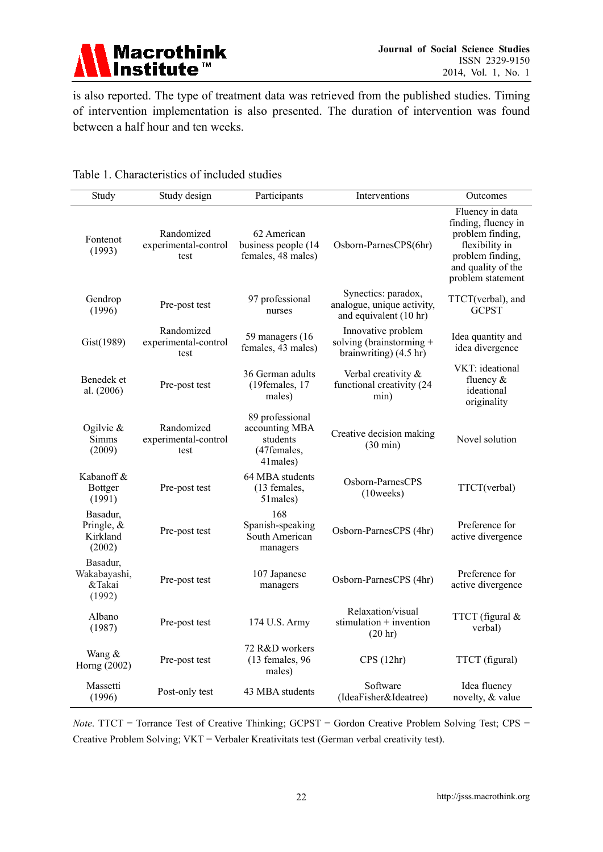

is also reported. The type of treatment data was retrieved from the published studies. Timing of intervention implementation is also presented. The duration of intervention was found between a half hour and ten weeks.

| Study                                           | Study design                               | Participants                                                             | Interventions                                                               | Outcomes                                                                                                                                    |
|-------------------------------------------------|--------------------------------------------|--------------------------------------------------------------------------|-----------------------------------------------------------------------------|---------------------------------------------------------------------------------------------------------------------------------------------|
| Fontenot<br>(1993)                              | Randomized<br>experimental-control<br>test | 62 American<br>business people (14<br>females, 48 males)                 | Osborn-ParnesCPS(6hr)                                                       | Fluency in data<br>finding, fluency in<br>problem finding,<br>flexibility in<br>problem finding,<br>and quality of the<br>problem statement |
| Gendrop<br>(1996)                               | Pre-post test                              | 97 professional<br>nurses                                                | Synectics: paradox,<br>analogue, unique activity,<br>and equivalent (10 hr) | TTCT(verbal), and<br><b>GCPST</b>                                                                                                           |
| Gist(1989)                                      | Randomized<br>experimental-control<br>test | 59 managers (16)<br>females, 43 males)                                   | Innovative problem<br>solving (brainstorming $+$<br>brainwriting) (4.5 hr)  | Idea quantity and<br>idea divergence                                                                                                        |
| Benedek et<br>al. (2006)                        | Pre-post test                              | 36 German adults<br>(19females, 17<br>males)                             | Verbal creativity &<br>functional creativity (24<br>min)                    | VKT: ideational<br>fluency $\&$<br>ideational<br>originality                                                                                |
| Ogilvie $\&$<br>Simms<br>(2009)                 | Randomized<br>experimental-control<br>test | 89 professional<br>accounting MBA<br>students<br>(47females,<br>41males) | Creative decision making<br>$(30 \text{ min})$                              | Novel solution                                                                                                                              |
| Kabanoff &<br>Bottger<br>(1991)                 | Pre-post test                              | 64 MBA students<br>(13 females,<br>51males)                              | Osborn-ParnesCPS<br>$(10 \text{weeks})$                                     | TTCT(verbal)                                                                                                                                |
| Basadur,<br>Pringle, $\&$<br>Kirkland<br>(2002) | Pre-post test                              | 168<br>Spanish-speaking<br>South American<br>managers                    | Osborn-ParnesCPS (4hr)                                                      | Preference for<br>active divergence                                                                                                         |
| Basadur,<br>Wakabayashi,<br>&Takai<br>(1992)    | Pre-post test                              | 107 Japanese<br>managers                                                 | Osborn-ParnesCPS (4hr)                                                      | Preference for<br>active divergence                                                                                                         |
| Albano<br>(1987)                                | Pre-post test                              | 174 U.S. Army                                                            | Relaxation/visual<br>stimulation $+$ invention<br>(20 hr)                   | TTCT (figural &<br>verbal)                                                                                                                  |
| Wang &<br>Horng (2002)                          | Pre-post test                              | 72 R&D workers<br>$(13$ females, 96<br>males)                            | CPS(12hr)                                                                   | TTCT (figural)                                                                                                                              |
| Massetti<br>(1996)                              | Post-only test                             | 43 MBA students                                                          | Software<br>(IdeaFisher&Ideatree)                                           | Idea fluency<br>novelty, & value                                                                                                            |

### Table 1. Characteristics of included studies

*Note*. TTCT = Torrance Test of Creative Thinking; GCPST = Gordon Creative Problem Solving Test; CPS = Creative Problem Solving; VKT = Verbaler Kreativitats test (German verbal creativity test).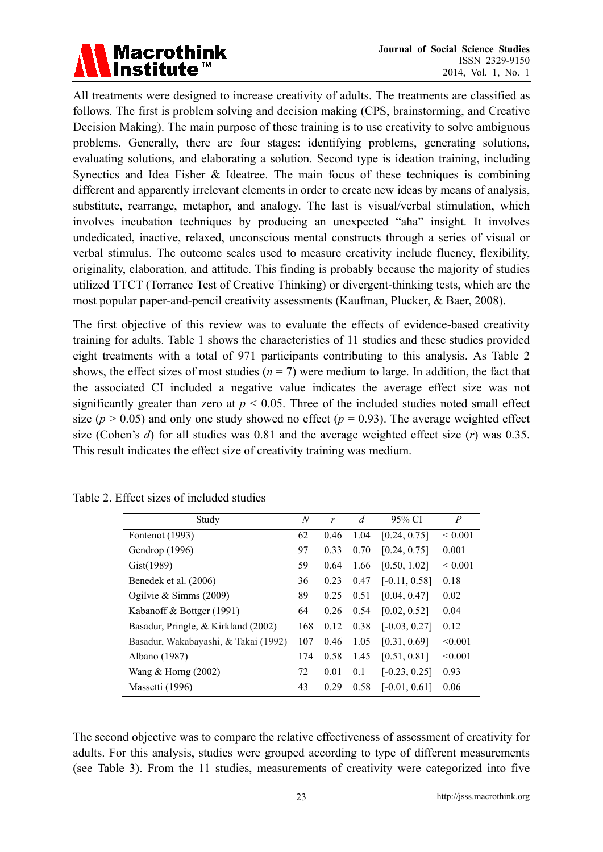

All treatments were designed to increase creativity of adults. The treatments are classified as follows. The first is problem solving and decision making (CPS, brainstorming, and Creative Decision Making). The main purpose of these training is to use creativity to solve ambiguous problems. Generally, there are four stages: identifying problems, generating solutions, evaluating solutions, and elaborating a solution. Second type is ideation training, including Synectics and Idea Fisher & Ideatree. The main focus of these techniques is combining different and apparently irrelevant elements in order to create new ideas by means of analysis, substitute, rearrange, metaphor, and analogy. The last is visual/verbal stimulation, which involves incubation techniques by producing an unexpected "aha" insight. It involves undedicated, inactive, relaxed, unconscious mental constructs through a series of visual or verbal stimulus. The outcome scales used to measure creativity include fluency, flexibility, originality, elaboration, and attitude. This finding is probably because the majority of studies utilized TTCT (Torrance Test of Creative Thinking) or divergent-thinking tests, which are the most popular paper-and-pencil creativity assessments (Kaufman, Plucker, & Baer, 2008).

The first objective of this review was to evaluate the effects of evidence-based creativity training for adults. Table 1 shows the characteristics of 11 studies and these studies provided eight treatments with a total of 971 participants contributing to this analysis. As Table 2 shows, the effect sizes of most studies ( $n = 7$ ) were medium to large. In addition, the fact that the associated CI included a negative value indicates the average effect size was not significantly greater than zero at  $p < 0.05$ . Three of the included studies noted small effect size ( $p > 0.05$ ) and only one study showed no effect ( $p = 0.93$ ). The average weighted effect size (Cohen's *d*) for all studies was 0.81 and the average weighted effect size (*r*) was 0.35. This result indicates the effect size of creativity training was medium.

| Study                                | N   | r    | $\overline{d}$ | 95% CI          | P            |
|--------------------------------------|-----|------|----------------|-----------------|--------------|
| Fontenot (1993)                      | 62  | 0.46 | 1.04           | [0.24, 0.75]    | ${}_{0.001}$ |
| Gendrop (1996)                       | 97  | 0.33 | 0.70           | [0.24, 0.75]    | 0.001        |
| Gist(1989)                           | 59  | 0.64 | 1.66           | [0.50, 1.02]    | ${}< 0.001$  |
| Benedek et al. (2006)                | 36  | 0.23 | 0.47           | $[-0.11, 0.58]$ | 0.18         |
| Ogilvie & Simms $(2009)$             | 89  | 0.25 | 0.51           | [0.04, 0.47]    | 0.02         |
| Kabanoff & Bottger (1991)            | 64  | 0.26 | 0.54           | [0.02, 0.52]    | 0.04         |
| Basadur, Pringle, & Kirkland (2002)  | 168 | 0.12 | 0.38           | $[-0.03, 0.27]$ | 0.12         |
| Basadur, Wakabayashi, & Takai (1992) | 107 | 0.46 | 1.05           | [0.31, 0.69]    | < 0.001      |
| Albano (1987)                        | 174 | 0.58 | 1.45           | [0.51, 0.81]    | < 0.001      |
| Wang $&$ Horng (2002)                | 72  | 0.01 | 0.1            | $[-0.23, 0.25]$ | 0.93         |
| Massetti (1996)                      | 43  | 0.29 | 0.58           | $[-0.01, 0.61]$ | 0.06         |

Table 2. Effect sizes of included studies

The second objective was to compare the relative effectiveness of assessment of creativity for adults. For this analysis, studies were grouped according to type of different measurements (see Table 3). From the 11 studies, measurements of creativity were categorized into five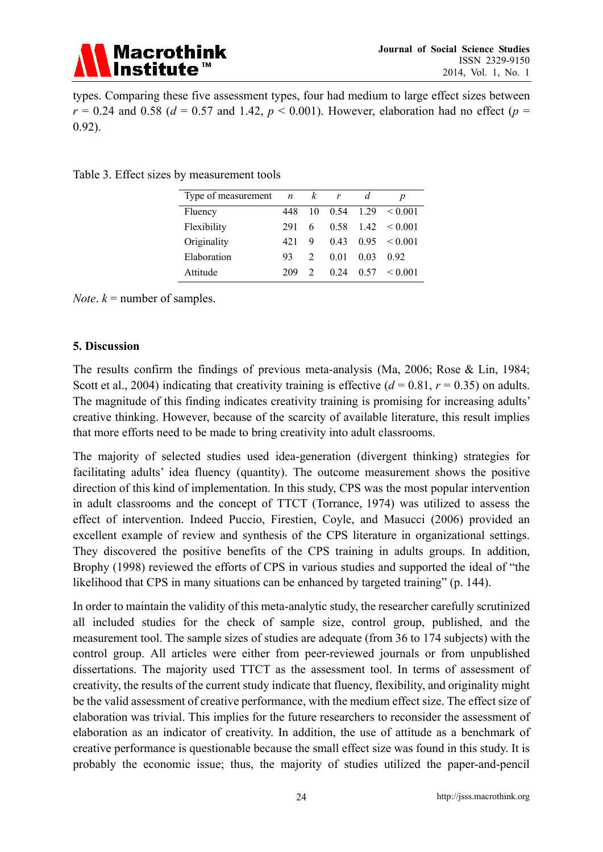

types. Comparing these five assessment types, four had medium to large effect sizes between  $r = 0.24$  and 0.58 ( $d = 0.57$  and 1.42,  $p < 0.001$ ). However, elaboration had no effect ( $p =$ 0.92).

| Type of measurement $n$ |     | $\kappa$ | r    | d    | p       |
|-------------------------|-----|----------|------|------|---------|
| Fluency                 | 448 | 10       | 0.54 | 1 29 | < 0.001 |
| Flexibility             | 291 | 6        | 0.58 | 142  | < 0.001 |
| Originality             | 421 | 9        | 0.43 | 0.95 | < 0.001 |
| Elaboration             | 93  |          | 0.01 | 0.03 | 0.92    |
| Attitude                | 209 |          | 0.24 | 0.57 | < 0.001 |

Table 3. Effect sizes by measurement tools

*Note.*  $k =$  number of samples.

#### **5. Discussion**

The results confirm the findings of previous meta-analysis (Ma, 2006; Rose & Lin, 1984; Scott et al., 2004) indicating that creativity training is effective  $(d = 0.81, r = 0.35)$  on adults. The magnitude of this finding indicates creativity training is promising for increasing adults' creative thinking. However, because of the scarcity of available literature, this result implies that more efforts need to be made to bring creativity into adult classrooms.

The majority of selected studies used idea-generation (divergent thinking) strategies for facilitating adults' idea fluency (quantity). The outcome measurement shows the positive direction of this kind of implementation. In this study, CPS was the most popular intervention in adult classrooms and the concept of TTCT (Torrance, 1974) was utilized to assess the effect of intervention. Indeed Puccio, Firestien, Coyle, and Masucci (2006) provided an excellent example of review and synthesis of the CPS literature in organizational settings. They discovered the positive benefits of the CPS training in adults groups. In addition, Brophy (1998) reviewed the efforts of CPS in various studies and supported the ideal of "the likelihood that CPS in many situations can be enhanced by targeted training" (p. 144).

In order to maintain the validity of this meta-analytic study, the researcher carefully scrutinized all included studies for the check of sample size, control group, published, and the measurement tool. The sample sizes of studies are adequate (from 36 to 174 subjects) with the control group. All articles were either from peer-reviewed journals or from unpublished dissertations. The majority used TTCT as the assessment tool. In terms of assessment of creativity, the results of the current study indicate that fluency, flexibility, and originality might be the valid assessment of creative performance, with the medium effect size. The effect size of elaboration was trivial. This implies for the future researchers to reconsider the assessment of elaboration as an indicator of creativity. In addition, the use of attitude as a benchmark of creative performance is questionable because the small effect size was found in this study. It is probably the economic issue; thus, the majority of studies utilized the paper-and-pencil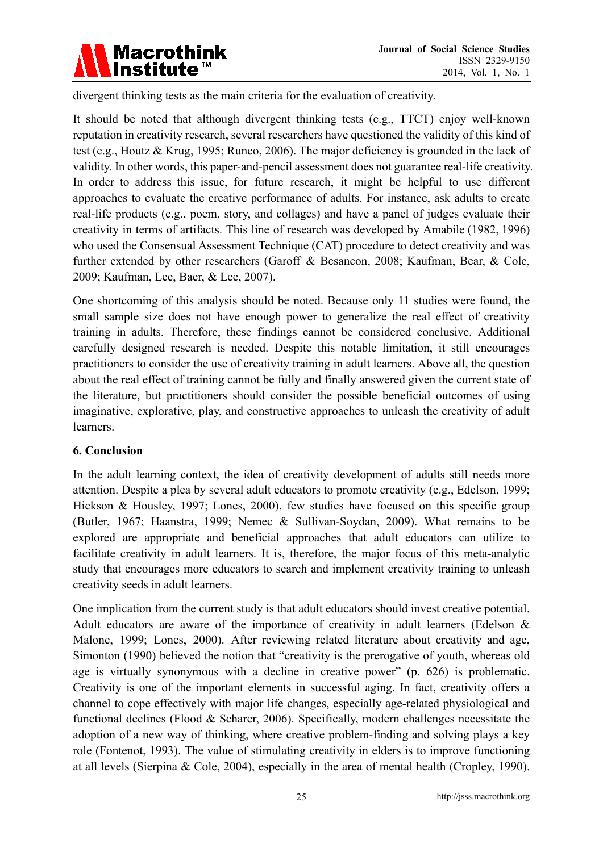

divergent thinking tests as the main criteria for the evaluation of creativity.

It should be noted that although divergent thinking tests (e.g., TTCT) enjoy well-known reputation in creativity research, several researchers have questioned the validity of this kind of test (e.g., Houtz & Krug, 1995; Runco, 2006). The major deficiency is grounded in the lack of validity. In other words, this paper-and-pencil assessment does not guarantee real-life creativity. In order to address this issue, for future research, it might be helpful to use different approaches to evaluate the creative performance of adults. For instance, ask adults to create real-life products (e.g., poem, story, and collages) and have a panel of judges evaluate their creativity in terms of artifacts. This line of research was developed by Amabile (1982, 1996) who used the Consensual Assessment Technique (CAT) procedure to detect creativity and was further extended by other researchers (Garoff & Besancon, 2008; Kaufman, Bear, & Cole, 2009; Kaufman, Lee, Baer, & Lee, 2007).

One shortcoming of this analysis should be noted. Because only 11 studies were found, the small sample size does not have enough power to generalize the real effect of creativity training in adults. Therefore, these findings cannot be considered conclusive. Additional carefully designed research is needed. Despite this notable limitation, it still encourages practitioners to consider the use of creativity training in adult learners. Above all, the question about the real effect of training cannot be fully and finally answered given the current state of the literature, but practitioners should consider the possible beneficial outcomes of using imaginative, explorative, play, and constructive approaches to unleash the creativity of adult learners.

#### **6. Conclusion**

In the adult learning context, the idea of creativity development of adults still needs more attention. Despite a plea by several adult educators to promote creativity (e.g., Edelson, 1999; Hickson & Housley, 1997; Lones, 2000), few studies have focused on this specific group (Butler, 1967; Haanstra, 1999; Nemec & Sullivan-Soydan, 2009). What remains to be explored are appropriate and beneficial approaches that adult educators can utilize to facilitate creativity in adult learners. It is, therefore, the major focus of this meta-analytic study that encourages more educators to search and implement creativity training to unleash creativity seeds in adult learners.

One implication from the current study is that adult educators should invest creative potential. Adult educators are aware of the importance of creativity in adult learners (Edelson & Malone, 1999; Lones, 2000). After reviewing related literature about creativity and age, Simonton (1990) believed the notion that "creativity is the prerogative of youth, whereas old age is virtually synonymous with a decline in creative power" (p. 626) is problematic. Creativity is one of the important elements in successful aging. In fact, creativity offers a channel to cope effectively with major life changes, especially age-related physiological and functional declines (Flood & Scharer, 2006). Specifically, modern challenges necessitate the adoption of a new way of thinking, where creative problem-finding and solving plays a key role (Fontenot, 1993). The value of stimulating creativity in elders is to improve functioning at all levels (Sierpina & Cole, 2004), especially in the area of mental health (Cropley, 1990).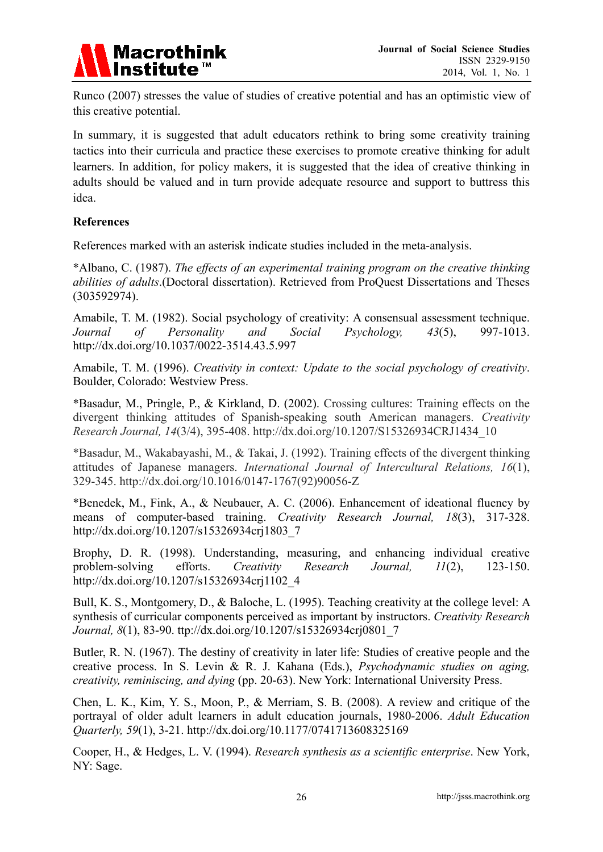

Runco (2007) stresses the value of studies of creative potential and has an optimistic view of this creative potential.

In summary, it is suggested that adult educators rethink to bring some creativity training tactics into their curricula and practice these exercises to promote creative thinking for adult learners. In addition, for policy makers, it is suggested that the idea of creative thinking in adults should be valued and in turn provide adequate resource and support to buttress this idea.

### **References**

References marked with an asterisk indicate studies included in the meta-analysis.

\*Albano, C. (1987). *The effects of an experimental training program on the creative thinking abilities of adults*.(Doctoral dissertation). Retrieved from ProQuest Dissertations and Theses (303592974).

Amabile, T. M. (1982). Social psychology of creativity: A consensual assessment technique. *Journal of Personality and Social Psychology, 43*(5), 997-1013. http://dx.doi.org/10.1037/0022-3514.43.5.997

Amabile, T. M. (1996). *Creativity in context: Update to the social psychology of creativity*. Boulder, Colorado: Westview Press.

\*Basadur, M., Pringle, P., & Kirkland, D. (2002). Crossing cultures: Training effects on the divergent thinking attitudes of Spanish-speaking south American managers. *Creativity Research Journal, 14*(3/4), 395-408. http://dx.doi.org/10.1207/S15326934CRJ1434\_10

\*Basadur, M., Wakabayashi, M., & Takai, J. (1992). Training effects of the divergent thinking attitudes of Japanese managers. *International Journal of Intercultural Relations, 16*(1), 329-345. http://dx.doi.org/10.1016/0147-1767(92)90056-Z

\*Benedek, M., Fink, A., & Neubauer, A. C. (2006). Enhancement of ideational fluency by means of computer-based training. *Creativity Research Journal, 18*(3), 317-328. http://dx.doi.org/10.1207/s15326934crj1803\_7

Brophy, D. R. (1998). Understanding, measuring, and enhancing individual creative problem-solving efforts. *Creativity Research Journal, 11*(2), 123-150. http://dx.doi.org/10.1207/s15326934crj1102\_4

Bull, K. S., Montgomery, D., & Baloche, L. (1995). Teaching creativity at the college level: A synthesis of curricular components perceived as important by instructors. *Creativity Research Journal, 8*(1), 83-90. ttp://dx.doi.org/10.1207/s15326934crj0801\_7

Butler, R. N. (1967). The destiny of creativity in later life: Studies of creative people and the creative process. In S. Levin & R. J. Kahana (Eds.), *Psychodynamic studies on aging, creativity, reminiscing, and dying* (pp. 20-63). New York: International University Press.

Chen, L. K., Kim, Y. S., Moon, P., & Merriam, S. B. (2008). A review and critique of the portrayal of older adult learners in adult education journals, 1980-2006. *Adult Education Quarterly, 59*(1), 3-21. http://dx.doi.org/10.1177/0741713608325169

Cooper, H., & Hedges, L. V. (1994). *Research synthesis as a scientific enterprise*. New York, NY: Sage.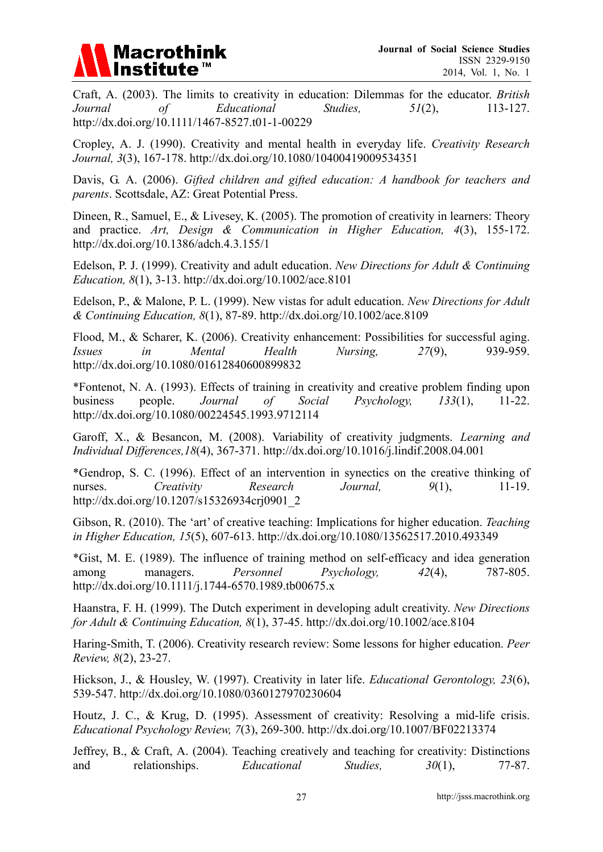

Craft, A. (2003). The limits to creativity in education: Dilemmas for the educator. *British Journal of Educational Studies, 51*(2), 113-127. http://dx.doi.org/10.1111/1467-8527.t01-1-00229

Cropley, A. J. (1990). Creativity and mental health in everyday life. *Creativity Research Journal, 3*(3), 167-178. http://dx.doi.org/10.1080/10400419009534351

Davis, G. A. (2006). *Gifted children and gifted education: A handbook for teachers and parents*. Scottsdale, AZ: Great Potential Press.

Dineen, R., Samuel, E., & Livesey, K. (2005). The promotion of creativity in learners: Theory and practice. *Art, Design & Communication in Higher Education, 4*(3), 155-172. http://dx.doi.org/10.1386/adch.4.3.155/1

Edelson, P. J. (1999). Creativity and adult education. *New Directions for Adult & Continuing Education, 8*(1), 3-13. http://dx.doi.org/10.1002/ace.8101

Edelson, P., & Malone, P. L. (1999). New vistas for adult education. *New Directions for Adult & Continuing Education, 8*(1), 87-89. http://dx.doi.org/10.1002/ace.8109

Flood, M., & Scharer, K. (2006). Creativity enhancement: Possibilities for successful aging. *Issues in Mental Health Nursing, 27*(9), 939-959. http://dx.doi.org/10.1080/01612840600899832

\*Fontenot, N. A. (1993). Effects of training in creativity and creative problem finding upon business people. *Journal of Social Psychology, 133*(1), 11-22. http://dx.doi.org/10.1080/00224545.1993.9712114

Garoff, X., & Besancon, M. (2008). Variability of creativity judgments. *Learning and Individual Differences,18*(4), 367-371. http://dx.doi.org/10.1016/j.lindif.2008.04.001

\*Gendrop, S. C. (1996). Effect of an intervention in synectics on the creative thinking of nurses. *Creativity* Research Journal, 9(1), 11-19. http://dx.doi.org/10.1207/s15326934crj0901\_2

Gibson, R. (2010). The 'art' of creative teaching: Implications for higher education. *Teaching in Higher Education, 15*(5), 607-613. http://dx.doi.org/10.1080/13562517.2010.493349

\*Gist, M. E. (1989). The influence of training method on self-efficacy and idea generation among managers. *Personnel Psychology, 42*(4), 787-805. http://dx.doi.org/10.1111/j.1744-6570.1989.tb00675.x

Haanstra, F. H. (1999). The Dutch experiment in developing adult creativity. *New Directions for Adult & Continuing Education, 8*(1), 37-45. http://dx.doi.org/10.1002/ace.8104

Haring-Smith, T. (2006). Creativity research review: Some lessons for higher education. *Peer Review, 8*(2), 23-27.

Hickson, J., & Housley, W. (1997). Creativity in later life. *Educational Gerontology, 23*(6), 539-547. http://dx.doi.org/10.1080/0360127970230604

Houtz, J. C., & Krug, D. (1995). Assessment of creativity: Resolving a mid-life crisis. *Educational Psychology Review, 7*(3), 269-300. http://dx.doi.org/10.1007/BF02213374

Jeffrey, B., & Craft, A. (2004). Teaching creatively and teaching for creativity: Distinctions and relationships. *Educational Studies*,  $30(1)$ , 77-87.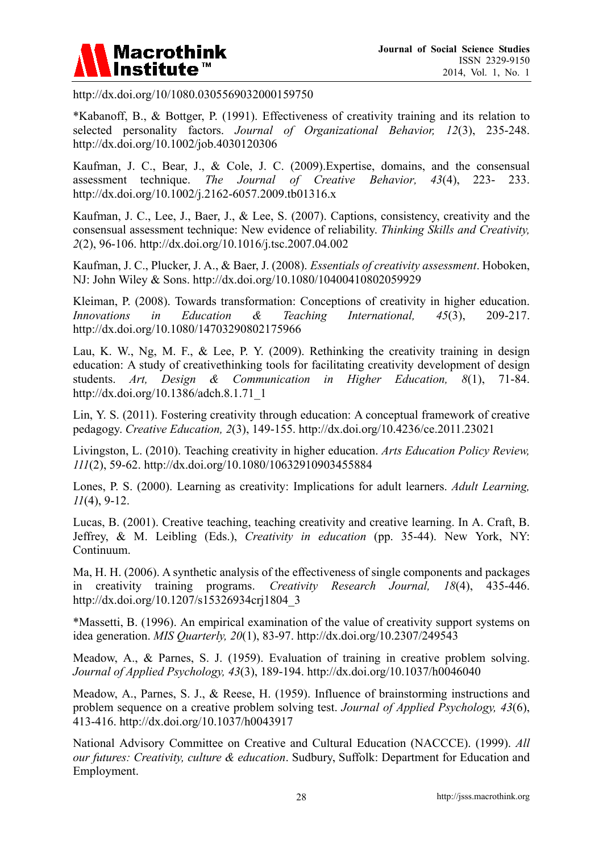

http://dx.doi.org/10/1080.0305569032000159750

\*Kabanoff, B., & Bottger, P. (1991). Effectiveness of creativity training and its relation to selected personality factors. *Journal of Organizational Behavior, 12*(3), 235-248. http://dx.doi.org/10.1002/job.4030120306

Kaufman, J. C., Bear, J., & Cole, J. C. (2009).Expertise, domains, and the consensual assessment technique. *The Journal of Creative Behavior, 43*(4), 223- 233. http://dx.doi.org/10.1002/j.2162-6057.2009.tb01316.x

Kaufman, J. C., Lee, J., Baer, J., & Lee, S. (2007). Captions, consistency, creativity and the consensual assessment technique: New evidence of reliability. *Thinking Skills and Creativity, 2*(2), 96-106. http://dx.doi.org/10.1016/j.tsc.2007.04.002

Kaufman, J. C., Plucker, J. A., & Baer, J. (2008). *Essentials of creativity assessment*. Hoboken, NJ: John Wiley & Sons. http://dx.doi.org/10.1080/10400410802059929

Kleiman, P. (2008). Towards transformation: Conceptions of creativity in higher education. *Innovations in Education & Teaching International, 45*(3), 209-217. http://dx.doi.org/10.1080/14703290802175966

Lau, K. W., Ng, M. F., & Lee, P. Y. (2009). Rethinking the creativity training in design education: A study of creativethinking tools for facilitating creativity development of design students. *Art, Design & Communication in Higher Education, 8*(1), 71-84. http://dx.doi.org/10.1386/adch.8.1.71\_1

Lin, Y. S. (2011). Fostering creativity through education: A conceptual framework of creative pedagogy. *Creative Education, 2*(3), 149-155. http://dx.doi.org/10.4236/ce.2011.23021

Livingston, L. (2010). Teaching creativity in higher education. *Arts Education Policy Review, 111*(2), 59-62. http://dx.doi.org/10.1080/10632910903455884

Lones, P. S. (2000). Learning as creativity: Implications for adult learners. *Adult Learning, 11*(4), 9-12.

Lucas, B. (2001). Creative teaching, teaching creativity and creative learning. In A. Craft, B. Jeffrey, & M. Leibling (Eds.), *Creativity in education* (pp. 35-44). New York, NY: Continuum.

Ma, H. H. (2006). A synthetic analysis of the effectiveness of single components and packages in creativity training programs. *Creativity Research Journal, 18*(4), 435-446. http://dx.doi.org/10.1207/s15326934crj1804\_3

\*Massetti, B. (1996). An empirical examination of the value of creativity support systems on idea generation. *MIS Quarterly, 20*(1), 83-97. http://dx.doi.org/10.2307/249543

Meadow, A., & Parnes, S. J. (1959). Evaluation of training in creative problem solving. *Journal of Applied Psychology, 43*(3), 189-194. http://dx.doi.org/10.1037/h0046040

Meadow, A., Parnes, S. J., & Reese, H. (1959). Influence of brainstorming instructions and problem sequence on a creative problem solving test. *Journal of Applied Psychology, 43*(6), 413-416. http://dx.doi.org/10.1037/h0043917

National Advisory Committee on Creative and Cultural Education (NACCCE). (1999). *All our futures: Creativity, culture & education*. Sudbury, Suffolk: Department for Education and Employment.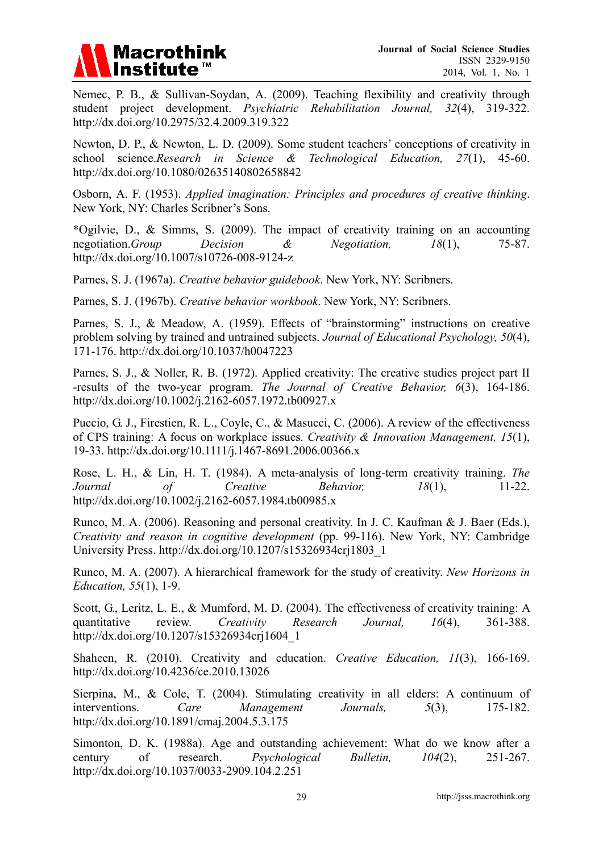

Nemec, P. B., & Sullivan-Soydan, A. (2009). Teaching flexibility and creativity through student project development. *Psychiatric Rehabilitation Journal, 32*(4), 319-322. http://dx.doi.org/10.2975/32.4.2009.319.322

Newton, D. P., & Newton, L. D. (2009). Some student teachers' conceptions of creativity in school science.*Research in Science & Technological Education, 27*(1), 45-60. http://dx.doi.org/10.1080/02635140802658842

Osborn, A. F. (1953). *Applied imagination: Principles and procedures of creative thinking*. New York, NY: Charles Scribner's Sons.

\*Ogilvie, D., & Simms, S. (2009). The impact of creativity training on an accounting negotiation.*Group Decision & Negotiation, 18*(1), 75-87. http://dx.doi.org/10.1007/s10726-008-9124-z

Parnes, S. J. (1967a). *Creative behavior guidebook*. New York, NY: Scribners.

Parnes, S. J. (1967b). *Creative behavior workbook*. New York, NY: Scribners.

Parnes, S. J., & Meadow, A. (1959). Effects of "brainstorming" instructions on creative problem solving by trained and untrained subjects. *Journal of Educational Psychology, 50*(4), 171-176. http://dx.doi.org/10.1037/h0047223

Parnes, S. J., & Noller, R. B. (1972). Applied creativity: The creative studies project part II -results of the two-year program. *The Journal of Creative Behavior, 6*(3), 164-186. http://dx.doi.org/10.1002/j.2162-6057.1972.tb00927.x

Puccio, G. J., Firestien, R. L., Coyle, C., & Masucci, C. (2006). A review of the effectiveness of CPS training: A focus on workplace issues. *Creativity & Innovation Management, 15*(1), 19-33. http://dx.doi.org/10.1111/j.1467-8691.2006.00366.x

Rose, L. H., & Lin, H. T. (1984). A meta-analysis of long-term creativity training. *The Journal of Creative Behavior, 18*(1), 11-22. http://dx.doi.org/10.1002/j.2162-6057.1984.tb00985.x

Runco, M. A. (2006). Reasoning and personal creativity. In J. C. Kaufman & J. Baer (Eds.), *Creativity and reason in cognitive development* (pp. 99-116). New York, NY: Cambridge University Press. http://dx.doi.org/10.1207/s15326934crj1803\_1

Runco, M. A. (2007). A hierarchical framework for the study of creativity. *New Horizons in Education, 55*(1), 1-9.

Scott, G., Leritz, L. E., & Mumford, M. D. (2004). The effectiveness of creativity training: A quantitative review. *Creativity Research Journal, 16*(4), 361-388. http://dx.doi.org/10.1207/s15326934crj1604\_1

Shaheen, R. (2010). Creativity and education. *Creative Education, 11*(3), 166-169. http://dx.doi.org/10.4236/ce.2010.13026

Sierpina, M., & Cole, T. (2004). Stimulating creativity in all elders: A continuum of interventions. *Care Management Journals, 5*(3), 175-182. http://dx.doi.org/10.1891/cmaj.2004.5.3.175

Simonton, D. K. (1988a). Age and outstanding achievement: What do we know after a century of research. *Psychological Bulletin, 104*(2), 251-267. http://dx.doi.org/10.1037/0033-2909.104.2.251